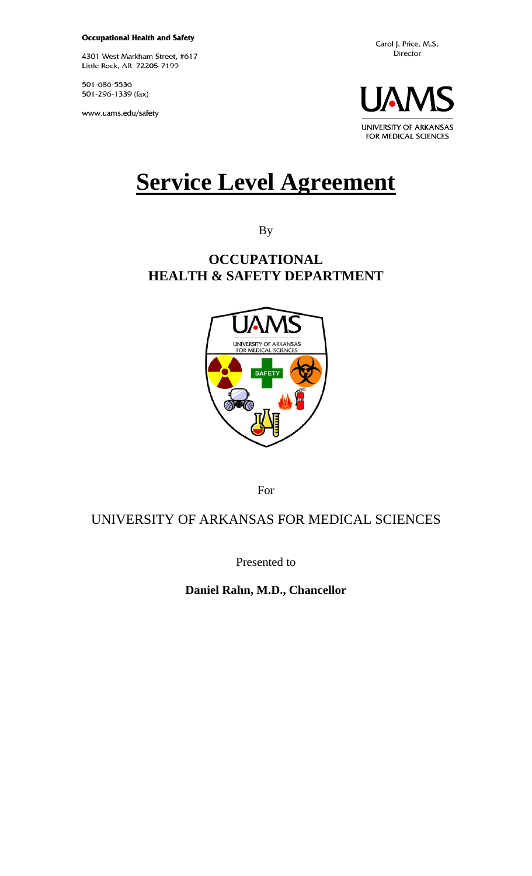**Occupational Health and Safety** 

4301 West Markham Street, #617 Little Rock, AR 72205-7199

501-686-5536 501-296-1339 (fax)

www.uams.edu/safety



# **Service Level Agreement**

By

# **OCCUPATIONAL HEALTH & SAFETY DEPARTMENT**



For

# UNIVERSITY OF ARKANSAS FOR MEDICAL SCIENCES

Presented to

**Daniel Rahn, M.D., Chancellor**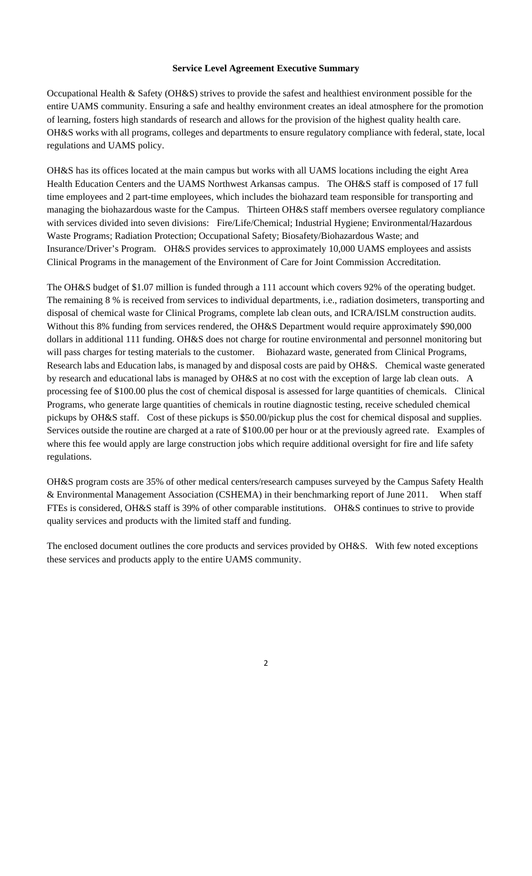#### **Service Level Agreement Executive Summary**

Occupational Health & Safety (OH&S) strives to provide the safest and healthiest environment possible for the entire UAMS community. Ensuring a safe and healthy environment creates an ideal atmosphere for the promotion of learning, fosters high standards of research and allows for the provision of the highest quality health care. OH&S works with all programs, colleges and departments to ensure regulatory compliance with federal, state, local regulations and UAMS policy.

OH&S has its offices located at the main campus but works with all UAMS locations including the eight Area Health Education Centers and the UAMS Northwest Arkansas campus. The OH&S staff is composed of 17 full time employees and 2 part-time employees, which includes the biohazard team responsible for transporting and managing the biohazardous waste for the Campus. Thirteen OH&S staff members oversee regulatory compliance with services divided into seven divisions: Fire/Life/Chemical; Industrial Hygiene; Environmental/Hazardous Waste Programs; Radiation Protection; Occupational Safety; Biosafety/Biohazardous Waste; and Insurance/Driver's Program. OH&S provides services to approximately 10,000 UAMS employees and assists Clinical Programs in the management of the Environment of Care for Joint Commission Accreditation.

The OH&S budget of \$1.07 million is funded through a 111 account which covers 92% of the operating budget. The remaining 8 % is received from services to individual departments, i.e., radiation dosimeters, transporting and disposal of chemical waste for Clinical Programs, complete lab clean outs, and ICRA/ISLM construction audits. Without this 8% funding from services rendered, the OH&S Department would require approximately \$90,000 dollars in additional 111 funding. OH&S does not charge for routine environmental and personnel monitoring but will pass charges for testing materials to the customer. Biohazard waste, generated from Clinical Programs, Research labs and Education labs, is managed by and disposal costs are paid by OH&S. Chemical waste generated by research and educational labs is managed by OH&S at no cost with the exception of large lab clean outs. A processing fee of \$100.00 plus the cost of chemical disposal is assessed for large quantities of chemicals. Clinical Programs, who generate large quantities of chemicals in routine diagnostic testing, receive scheduled chemical pickups by OH&S staff. Cost of these pickups is \$50.00/pickup plus the cost for chemical disposal and supplies. Services outside the routine are charged at a rate of \$100.00 per hour or at the previously agreed rate. Examples of where this fee would apply are large construction jobs which require additional oversight for fire and life safety regulations.

OH&S program costs are 35% of other medical centers/research campuses surveyed by the Campus Safety Health & Environmental Management Association (CSHEMA) in their benchmarking report of June 2011. When staff FTEs is considered, OH&S staff is 39% of other comparable institutions. OH&S continues to strive to provide quality services and products with the limited staff and funding.

The enclosed document outlines the core products and services provided by OH&S. With few noted exceptions these services and products apply to the entire UAMS community.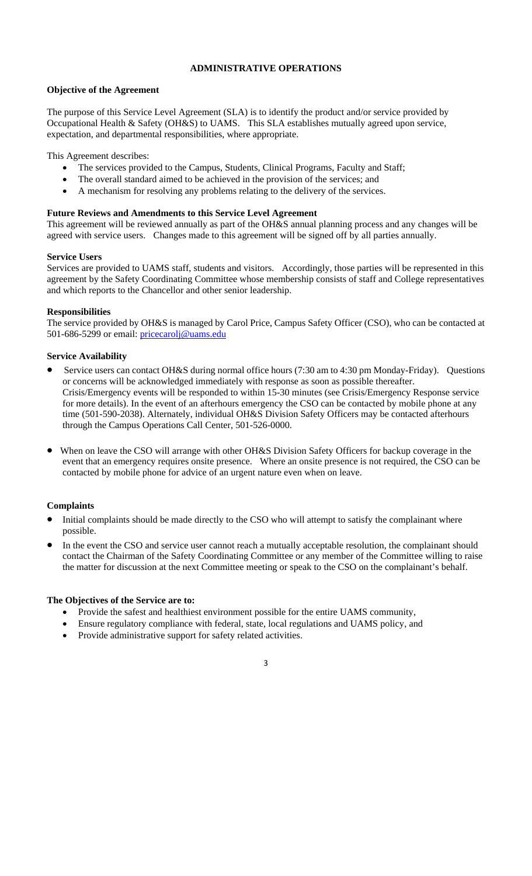## **ADMINISTRATIVE OPERATIONS**

#### **Objective of the Agreement**

The purpose of this Service Level Agreement (SLA) is to identify the product and/or service provided by Occupational Health & Safety (OH&S) to UAMS. This SLA establishes mutually agreed upon service, expectation, and departmental responsibilities, where appropriate.

This Agreement describes:

- The services provided to the Campus, Students, Clinical Programs, Faculty and Staff;
- The overall standard aimed to be achieved in the provision of the services; and
- A mechanism for resolving any problems relating to the delivery of the services.

## **Future Reviews and Amendments to this Service Level Agreement**

This agreement will be reviewed annually as part of the OH&S annual planning process and any changes will be agreed with service users. Changes made to this agreement will be signed off by all parties annually.

#### **Service Users**

Services are provided to UAMS staff, students and visitors. Accordingly, those parties will be represented in this agreement by the Safety Coordinating Committee whose membership consists of staff and College representatives and which reports to the Chancellor and other senior leadership.

## **Responsibilities**

The service provided by OH&S is managed by Carol Price, Campus Safety Officer (CSO), who can be contacted at 501-686-5299 or email: pricecarolj@uams.edu

## **Service Availability**

- Service users can contact OH&S during normal office hours (7:30 am to 4:30 pm Monday-Friday). Questions or concerns will be acknowledged immediately with response as soon as possible thereafter. Crisis/Emergency events will be responded to within 15-30 minutes (see Crisis/Emergency Response service for more details). In the event of an afterhours emergency the CSO can be contacted by mobile phone at any time (501-590-2038). Alternately, individual OH&S Division Safety Officers may be contacted afterhours through the Campus Operations Call Center, 501-526-0000.
- When on leave the CSO will arrange with other OH&S Division Safety Officers for backup coverage in the event that an emergency requires onsite presence. Where an onsite presence is not required, the CSO can be contacted by mobile phone for advice of an urgent nature even when on leave.

## **Complaints**

- Initial complaints should be made directly to the CSO who will attempt to satisfy the complainant where possible.
- In the event the CSO and service user cannot reach a mutually acceptable resolution, the complainant should contact the Chairman of the Safety Coordinating Committee or any member of the Committee willing to raise the matter for discussion at the next Committee meeting or speak to the CSO on the complainant's behalf.

## **The Objectives of the Service are to:**

- Provide the safest and healthiest environment possible for the entire UAMS community,
- Ensure regulatory compliance with federal, state, local regulations and UAMS policy, and
- Provide administrative support for safety related activities.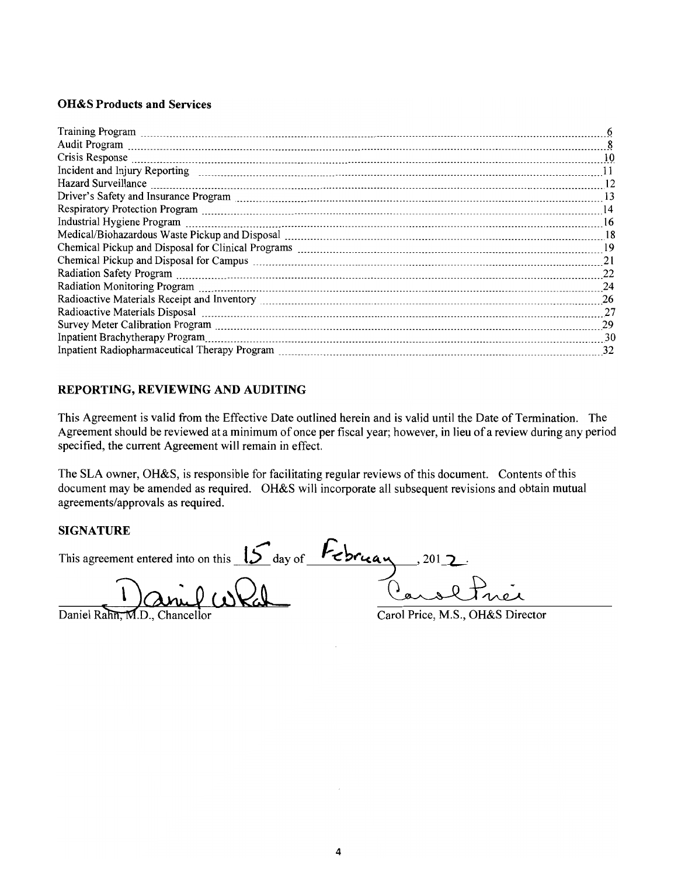#### **OH&S Products and Services**

| Crisis Response <b>contract and the contract of the contract of the contract of the contract of the contract of the contract of the contract of the contract of the contract of the contract of the contract of the contract of </b><br>$\overline{10}$ |     |
|---------------------------------------------------------------------------------------------------------------------------------------------------------------------------------------------------------------------------------------------------------|-----|
|                                                                                                                                                                                                                                                         |     |
| Hazard Surveillance <b>material contracts</b> and a series are a series and a series of the series and a series and a series and a series of the series and a series of the series of the series of the series of the series of the                     |     |
| Driver's Safety and Insurance Program <i>machinesim machinesim machinesim machinesim and</i> 13                                                                                                                                                         |     |
| 14                                                                                                                                                                                                                                                      |     |
| $\frac{16}{2}$                                                                                                                                                                                                                                          |     |
| Medical/Biohazardous Waste Pickup and Disposal [11] Medical Management and Redical/Biohazardous Waste Pickup and Disposal [18] Medical Management and Redical/Biohazardous Waste Pickup and Disposal [18] Medical Management a                          |     |
|                                                                                                                                                                                                                                                         |     |
|                                                                                                                                                                                                                                                         |     |
|                                                                                                                                                                                                                                                         |     |
|                                                                                                                                                                                                                                                         |     |
|                                                                                                                                                                                                                                                         | 26  |
|                                                                                                                                                                                                                                                         | -27 |
|                                                                                                                                                                                                                                                         | 29  |
|                                                                                                                                                                                                                                                         | -30 |
|                                                                                                                                                                                                                                                         | 32  |

#### REPORTING, REVIEWING AND AUDITING

This Agreement is valid from the Effective Date outlined herein and is valid until the Date of Termination. The Agreement should be reviewed at a minimum of once per fiscal year; however, in lieu of a review during any period specified, the current Agreement will remain in effect.

The SLA owner, OH&S, is responsible for facilitating regular reviews of this document. Contents of this document may be amended as required. OH&S will incorporate all subsequent revisions and obtain mutual agreements/approvals as required.

#### **SIGNATURE**

This agreement entered into on this  $15$  day of  $\sqrt{2}$   $\sqrt{2}$ 201 $\bigtriangledown$ 

Daniel Rahn, M.D., Chancellor

Carol Price, M.S., OH&S Director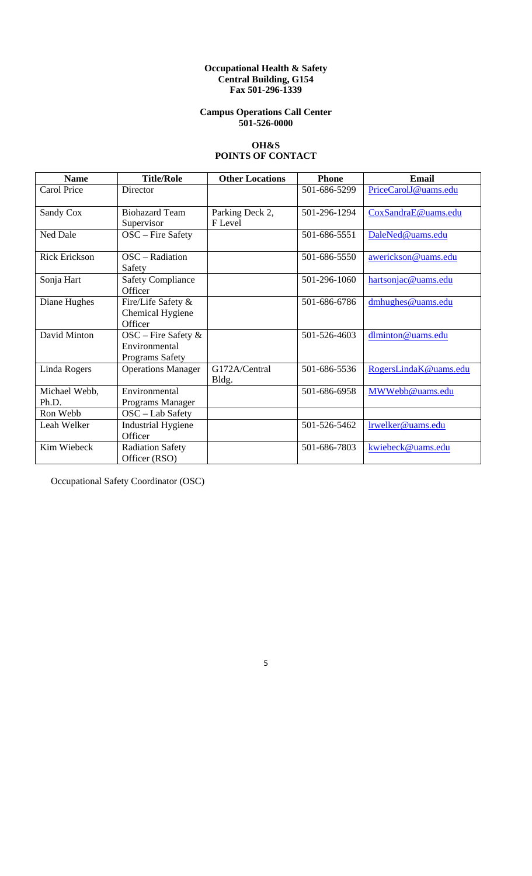#### **Occupational Health & Safety Central Building, G154 Fax 501-296-1339**

## **Campus Operations Call Center 501-526-0000**

## **OH&S POINTS OF CONTACT**

| <b>Name</b>            | <b>Title/Role</b>                                          | <b>Other Locations</b>     | <b>Phone</b> | <b>Email</b>          |
|------------------------|------------------------------------------------------------|----------------------------|--------------|-----------------------|
| <b>Carol Price</b>     | Director                                                   |                            | 501-686-5299 | PriceCarolJ@uams.edu  |
| Sandy Cox              | <b>Biohazard Team</b><br>Supervisor                        | Parking Deck 2,<br>F Level | 501-296-1294 | CoxSandraE@uams.edu   |
| <b>Ned Dale</b>        | OSC – Fire Safety                                          |                            | 501-686-5551 | DaleNed@uams.edu      |
| <b>Rick Erickson</b>   | $OSC - Radiation$<br>Safety                                |                            | 501-686-5550 | awerickson@uams.edu   |
| Sonja Hart             | <b>Safety Compliance</b><br>Officer                        |                            | 501-296-1060 | hartsonjac@uams.edu   |
| Diane Hughes           | Fire/Life Safety &<br>Chemical Hygiene<br>Officer          |                            | 501-686-6786 | dmhughes@uams.edu     |
| David Minton           | OSC – Fire Safety $\&$<br>Environmental<br>Programs Safety |                            | 501-526-4603 | dlminton@uams.edu     |
| Linda Rogers           | <b>Operations Manager</b>                                  | G172A/Central<br>Bldg.     | 501-686-5536 | RogersLindaK@uams.edu |
| Michael Webb,<br>Ph.D. | Environmental<br>Programs Manager                          |                            | 501-686-6958 | MWWebb@uams.edu       |
| Ron Webb               | OSC - Lab Safety                                           |                            |              |                       |
| Leah Welker            | <b>Industrial Hygiene</b><br>Officer                       |                            | 501-526-5462 | lrwelker@uams.edu     |
| Kim Wiebeck            | <b>Radiation Safety</b><br>Officer (RSO)                   |                            | 501-686-7803 | kwiebeck@uams.edu     |

Occupational Safety Coordinator (OSC)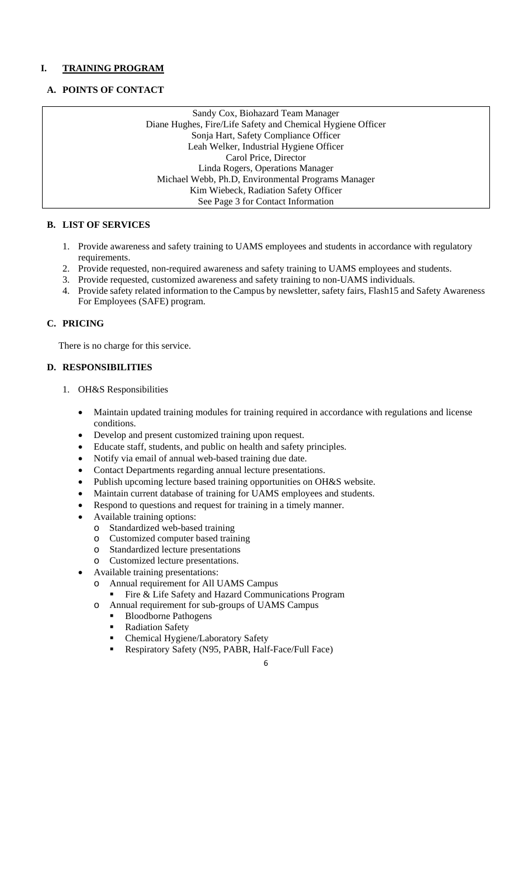## **I. TRAINING PROGRAM**

## **A. POINTS OF CONTACT**

Sandy Cox, Biohazard Team Manager Diane Hughes, Fire/Life Safety and Chemical Hygiene Officer Sonja Hart, Safety Compliance Officer Leah Welker, Industrial Hygiene Officer Carol Price, Director Linda Rogers, Operations Manager Michael Webb, Ph.D, Environmental Programs Manager Kim Wiebeck, Radiation Safety Officer See Page 3 for Contact Information

## **B. LIST OF SERVICES**

- 1. Provide awareness and safety training to UAMS employees and students in accordance with regulatory requirements.
- 2. Provide requested, non-required awareness and safety training to UAMS employees and students.
- 3. Provide requested, customized awareness and safety training to non-UAMS individuals.
- 4. Provide safety related information to the Campus by newsletter, safety fairs, Flash15 and Safety Awareness For Employees (SAFE) program.

## **C. PRICING**

There is no charge for this service.

## **D. RESPONSIBILITIES**

- 1. OH&S Responsibilities
	- Maintain updated training modules for training required in accordance with regulations and license conditions.
	- Develop and present customized training upon request.
	- Educate staff, students, and public on health and safety principles.
	- Notify via email of annual web-based training due date.
	- Contact Departments regarding annual lecture presentations.
	- Publish upcoming lecture based training opportunities on OH&S website.
	- Maintain current database of training for UAMS employees and students.
	- Respond to questions and request for training in a timely manner.
	- Available training options:
		- o Standardized web-based training
		- o Customized computer based training
		- o Standardized lecture presentations
		- o Customized lecture presentations.
	- Available training presentations:
		- o Annual requirement for All UAMS Campus
			- Fire & Life Safety and Hazard Communications Program
		- o Annual requirement for sub-groups of UAMS Campus
			- Bloodborne Pathogens
				- Radiation Safety
				- Chemical Hygiene/Laboratory Safety<br>■ Respiratory Safety (N95 PARR Half
				- Respiratory Safety (N95, PABR, Half-Face/Full Face)
					- 6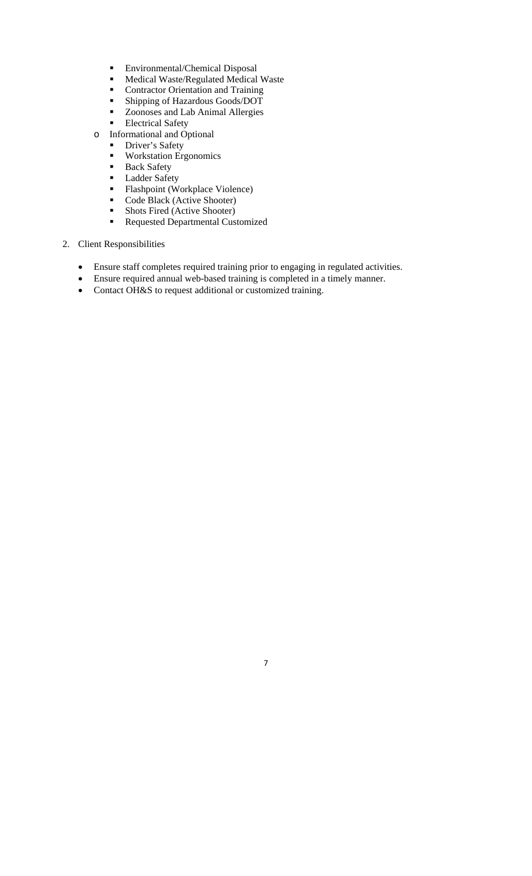- **Environmental/Chemical Disposal**<br>Medical Waste/Regulated Medical
- Medical Waste/Regulated Medical Waste
- Contractor Orientation and Training<br>• Shinning of Hazardous Goods/DOT
- Shipping of Hazardous Goods/DOT
- Zoonoses and Lab Animal Allergies
- **Electrical Safety**
- o Informational and Optional
	- **Driver's Safety**
	- Workstation Ergonomics
	- Back Safety
	- **Ladder Safety**
	- Flashpoint (Workplace Violence)<br>Code Black (Active Shooter)
	- Code Black (Active Shooter)<br>• Shots Fired (Active Shooter)
	- Shots Fired (Active Shooter)
	- **Requested Departmental Customized**
- 2. Client Responsibilities
	- Ensure staff completes required training prior to engaging in regulated activities.

- Ensure required annual web-based training is completed in a timely manner.
- Contact OH&S to request additional or customized training.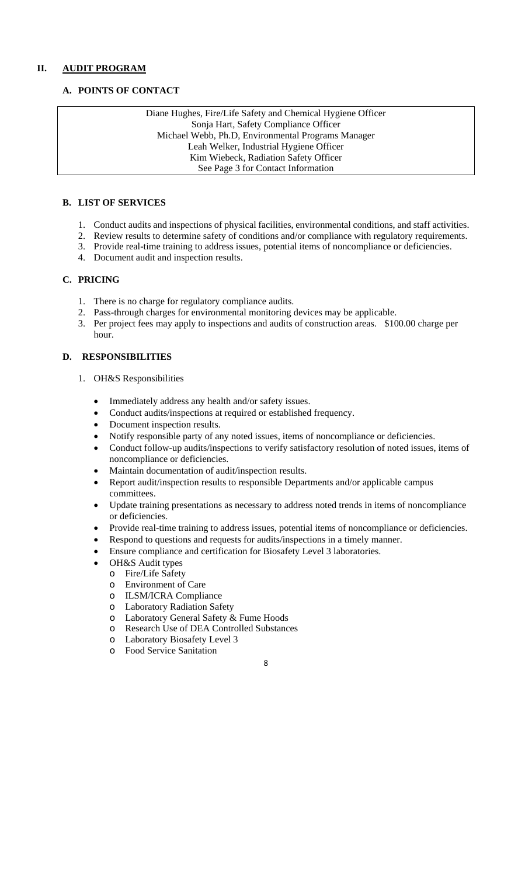## **II. AUDIT PROGRAM**

## **A. POINTS OF CONTACT**

Diane Hughes, Fire/Life Safety and Chemical Hygiene Officer Sonja Hart, Safety Compliance Officer Michael Webb, Ph.D, Environmental Programs Manager Leah Welker, Industrial Hygiene Officer Kim Wiebeck, Radiation Safety Officer See Page 3 for Contact Information

## **B. LIST OF SERVICES**

- 1. Conduct audits and inspections of physical facilities, environmental conditions, and staff activities.
- 2. Review results to determine safety of conditions and/or compliance with regulatory requirements.
- 3. Provide real-time training to address issues, potential items of noncompliance or deficiencies.
- 4. Document audit and inspection results.

## **C. PRICING**

- 1. There is no charge for regulatory compliance audits.
- 2. Pass-through charges for environmental monitoring devices may be applicable.
- 3. Per project fees may apply to inspections and audits of construction areas. \$100.00 charge per hour.

## **D. RESPONSIBILITIES**

- 1. OH&S Responsibilities
	- Immediately address any health and/or safety issues.
	- Conduct audits/inspections at required or established frequency.
	- Document inspection results.
	- Notify responsible party of any noted issues, items of noncompliance or deficiencies.
	- Conduct follow-up audits/inspections to verify satisfactory resolution of noted issues, items of noncompliance or deficiencies.
	- Maintain documentation of audit/inspection results.
	- Report audit/inspection results to responsible Departments and/or applicable campus committees.
	- Update training presentations as necessary to address noted trends in items of noncompliance or deficiencies.
	- Provide real-time training to address issues, potential items of noncompliance or deficiencies.
	- Respond to questions and requests for audits/inspections in a timely manner.
	- Ensure compliance and certification for Biosafety Level 3 laboratories.
		- OH&S Audit types
		- o Fire/Life Safety
		- o Environment of Care
		- o ILSM/ICRA Compliance
		- o Laboratory Radiation Safety
		- o Laboratory General Safety & Fume Hoods
		- o Research Use of DEA Controlled Substances
		- o Laboratory Biosafety Level 3
		- o Food Service Sanitation
- 8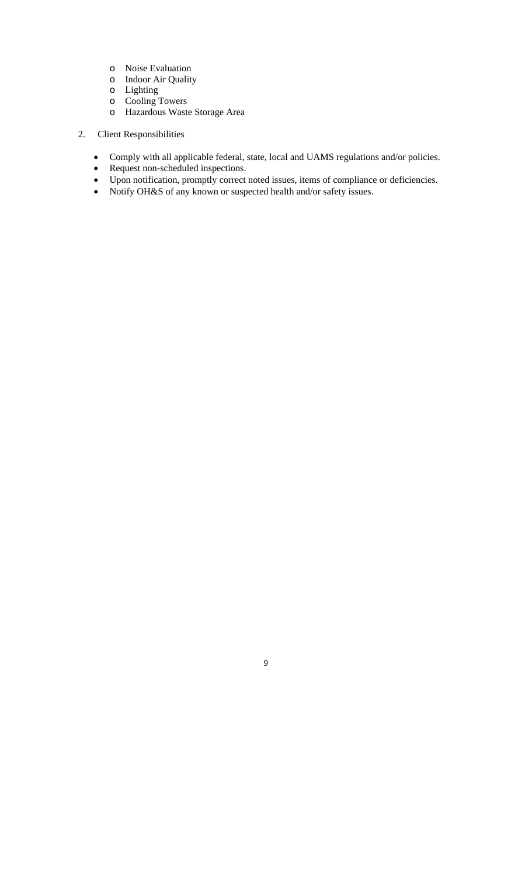- o Noise Evaluation
- o Indoor Air Quality
- o Lighting
- o Cooling Towers
- o Hazardous Waste Storage Area
- 2. Client Responsibilities
	- Comply with all applicable federal, state, local and UAMS regulations and/or policies.
	- Request non-scheduled inspections.
	- Upon notification, promptly correct noted issues, items of compliance or deficiencies.
	- Notify OH&S of any known or suspected health and/or safety issues.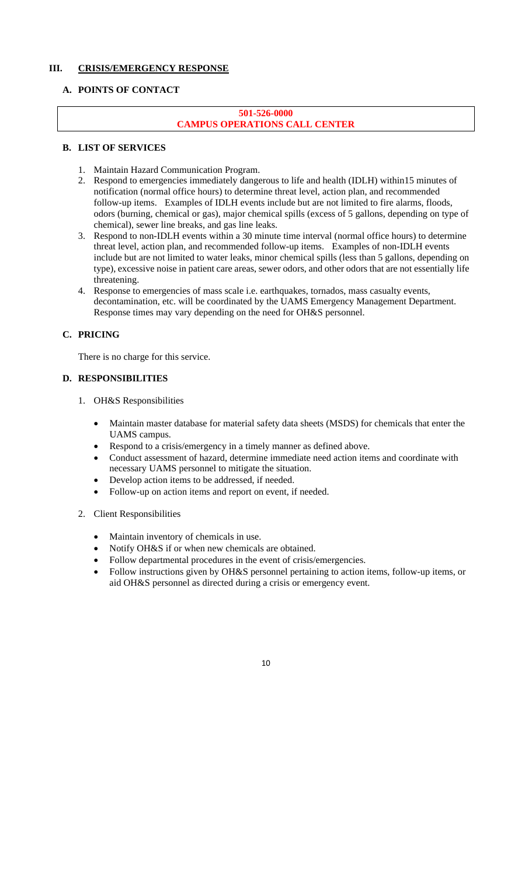## **III. CRISIS/EMERGENCY RESPONSE**

## **A. POINTS OF CONTACT**

## **501-526-0000 CAMPUS OPERATIONS CALL CENTER**

## **B. LIST OF SERVICES**

- 1. Maintain Hazard Communication Program.
- 2. Respond to emergencies immediately dangerous to life and health (IDLH) within15 minutes of notification (normal office hours) to determine threat level, action plan, and recommended follow-up items. Examples of IDLH events include but are not limited to fire alarms, floods, odors (burning, chemical or gas), major chemical spills (excess of 5 gallons, depending on type of chemical), sewer line breaks, and gas line leaks.
- 3. Respond to non-IDLH events within a 30 minute time interval (normal office hours) to determine threat level, action plan, and recommended follow-up items. Examples of non-IDLH events include but are not limited to water leaks, minor chemical spills (less than 5 gallons, depending on type), excessive noise in patient care areas, sewer odors, and other odors that are not essentially life threatening.
- 4. Response to emergencies of mass scale i.e. earthquakes, tornados, mass casualty events, decontamination, etc. will be coordinated by the UAMS Emergency Management Department. Response times may vary depending on the need for OH&S personnel.

## **C. PRICING**

There is no charge for this service.

## **D. RESPONSIBILITIES**

- 1. OH&S Responsibilities
	- Maintain master database for material safety data sheets (MSDS) for chemicals that enter the UAMS campus.
	- Respond to a crisis/emergency in a timely manner as defined above.
	- Conduct assessment of hazard, determine immediate need action items and coordinate with necessary UAMS personnel to mitigate the situation.
	- Develop action items to be addressed, if needed.
	- Follow-up on action items and report on event, if needed.
- 2. Client Responsibilities
	- Maintain inventory of chemicals in use.
	- Notify OH&S if or when new chemicals are obtained.
	- Follow departmental procedures in the event of crisis/emergencies.
	- Follow instructions given by OH&S personnel pertaining to action items, follow-up items, or aid OH&S personnel as directed during a crisis or emergency event.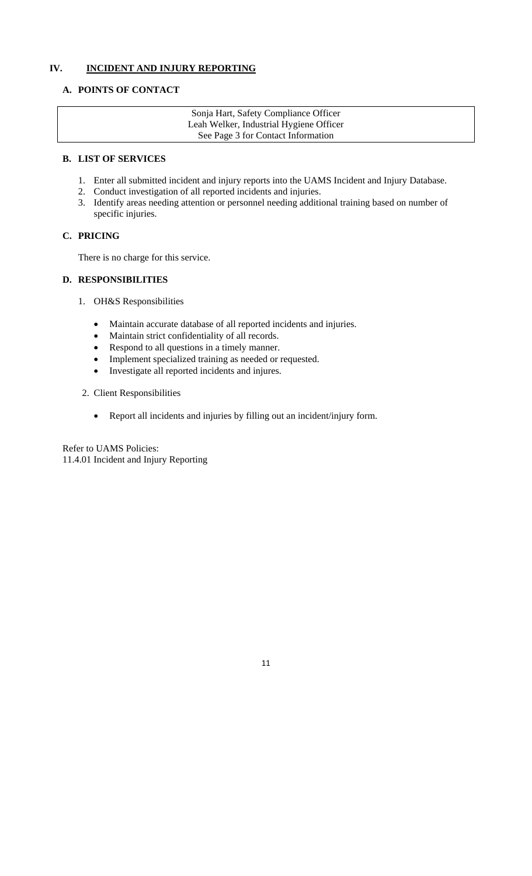## **IV. INCIDENT AND INJURY REPORTING**

## **A. POINTS OF CONTACT**

Sonja Hart, Safety Compliance Officer Leah Welker, Industrial Hygiene Officer See Page 3 for Contact Information

#### **B. LIST OF SERVICES**

- 1. Enter all submitted incident and injury reports into the UAMS Incident and Injury Database.
- 2. Conduct investigation of all reported incidents and injuries.
- 3. Identify areas needing attention or personnel needing additional training based on number of specific injuries.

## **C. PRICING**

There is no charge for this service.

## **D. RESPONSIBILITIES**

- 1. OH&S Responsibilities
	- Maintain accurate database of all reported incidents and injuries.
	- Maintain strict confidentiality of all records.
	- Respond to all questions in a timely manner.
	- Implement specialized training as needed or requested.
	- Investigate all reported incidents and injures.
- 2. Client Responsibilities
	- Report all incidents and injuries by filling out an incident/injury form.

Refer to UAMS Policies: 11.4.01 Incident and Injury Reporting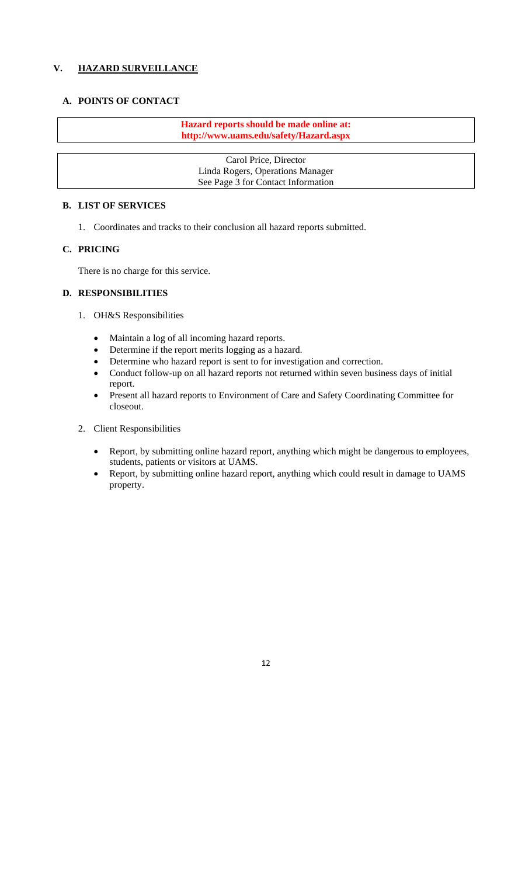## **V. HAZARD SURVEILLANCE**

## **A. POINTS OF CONTACT**

**Hazard reports should be made online at: http://www.uams.edu/safety/Hazard.aspx** 

Carol Price, Director Linda Rogers, Operations Manager See Page 3 for Contact Information

## **B. LIST OF SERVICES**

1. Coordinates and tracks to their conclusion all hazard reports submitted.

## **C. PRICING**

There is no charge for this service.

## **D. RESPONSIBILITIES**

- 1. OH&S Responsibilities
	-
	- Maintain a log of all incoming hazard reports.<br>• Determine if the report merits logging as a haz Determine if the report merits logging as a hazard.
	- Determine who hazard report is sent to for investigation and correction.
	- Conduct follow-up on all hazard reports not returned within seven business days of initial report.
	- Present all hazard reports to Environment of Care and Safety Coordinating Committee for closeout.
- 2. Client Responsibilities
	- Report, by submitting online hazard report, anything which might be dangerous to employees, students, patients or visitors at UAMS.
	- Report, by submitting online hazard report, anything which could result in damage to UAMS property.

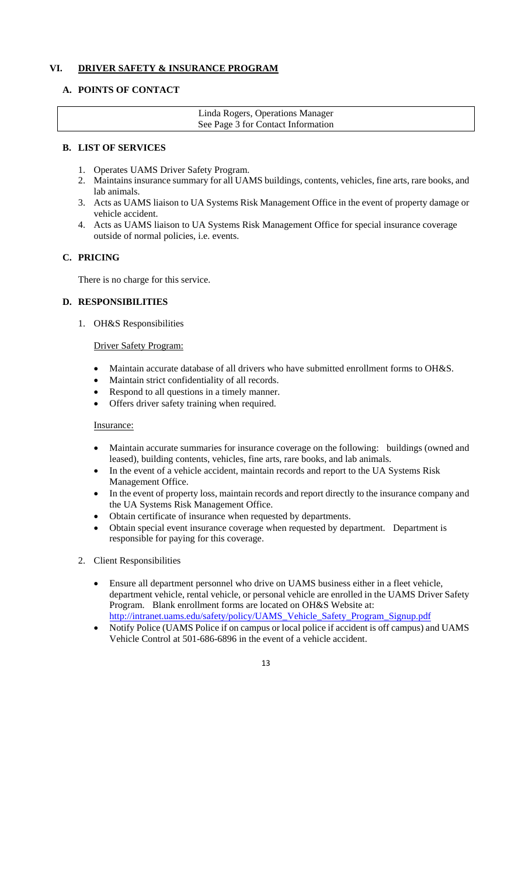## **VI. DRIVER SAFETY & INSURANCE PROGRAM**

## **A. POINTS OF CONTACT**

| Linda Rogers, Operations Manager   |  |
|------------------------------------|--|
| See Page 3 for Contact Information |  |

## **B. LIST OF SERVICES**

- 1. Operates UAMS Driver Safety Program.
- 2. Maintains insurance summary for all UAMS buildings, contents, vehicles, fine arts, rare books, and lab animals.
- 3. Acts as UAMS liaison to UA Systems Risk Management Office in the event of property damage or vehicle accident.
- 4. Acts as UAMS liaison to UA Systems Risk Management Office for special insurance coverage outside of normal policies, i.e. events.

## **C. PRICING**

There is no charge for this service.

## **D. RESPONSIBILITIES**

1. OH&S Responsibilities

## Driver Safety Program:

- Maintain accurate database of all drivers who have submitted enrollment forms to OH&S.
- Maintain strict confidentiality of all records.
- Respond to all questions in a timely manner.
- Offers driver safety training when required.

#### Insurance:

- Maintain accurate summaries for insurance coverage on the following: buildings (owned and leased), building contents, vehicles, fine arts, rare books, and lab animals.
- In the event of a vehicle accident, maintain records and report to the UA Systems Risk Management Office.
- In the event of property loss, maintain records and report directly to the insurance company and the UA Systems Risk Management Office.
- Obtain certificate of insurance when requested by departments.
- Obtain special event insurance coverage when requested by department. Department is responsible for paying for this coverage.
- 2. Client Responsibilities
	- Ensure all department personnel who drive on UAMS business either in a fleet vehicle, department vehicle, rental vehicle, or personal vehicle are enrolled in the UAMS Driver Safety Program. Blank enrollment forms are located on OH&S Website at: http://intranet.uams.edu/safety/policy/UAMS\_Vehicle\_Safety\_Program\_Signup.pdf
	- Notify Police (UAMS Police if on campus or local police if accident is off campus) and UAMS Vehicle Control at 501-686-6896 in the event of a vehicle accident.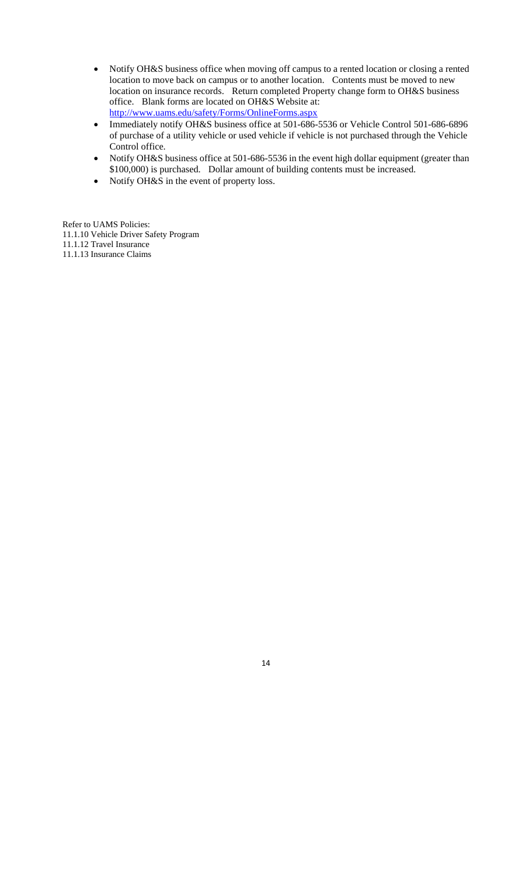- Notify OH&S business office when moving off campus to a rented location or closing a rented location to move back on campus or to another location. Contents must be moved to new location on insurance records. Return completed Property change form to OH&S business office. Blank forms are located on OH&S Website at: http://www.uams.edu/safety/Forms/OnlineForms.aspx
- Immediately notify OH&S business office at 501-686-5536 or Vehicle Control 501-686-6896 of purchase of a utility vehicle or used vehicle if vehicle is not purchased through the Vehicle Control office.
- Notify OH&S business office at 501-686-5536 in the event high dollar equipment (greater than \$100,000) is purchased. Dollar amount of building contents must be increased.
- Notify OH&S in the event of property loss.

Refer to UAMS Policies:

11.1.10 Vehicle Driver Safety Program

11.1.12 Travel Insurance

11.1.13 Insurance Claims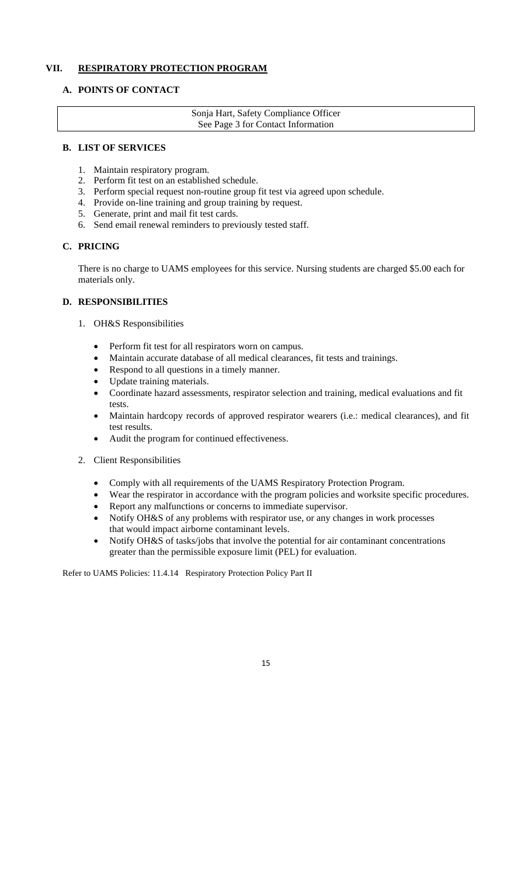## **VII. RESPIRATORY PROTECTION PROGRAM**

## **A. POINTS OF CONTACT**

Sonja Hart, Safety Compliance Officer See Page 3 for Contact Information

#### **B. LIST OF SERVICES**

- 1. Maintain respiratory program.
- 2. Perform fit test on an established schedule.
- 3. Perform special request non-routine group fit test via agreed upon schedule.
- 4. Provide on-line training and group training by request.
- 5. Generate, print and mail fit test cards.
- 6. Send email renewal reminders to previously tested staff.

## **C. PRICING**

There is no charge to UAMS employees for this service. Nursing students are charged \$5.00 each for materials only.

## **D. RESPONSIBILITIES**

- 1. OH&S Responsibilities
	- Perform fit test for all respirators worn on campus.
	- Maintain accurate database of all medical clearances, fit tests and trainings.
	- Respond to all questions in a timely manner.
	- Update training materials.
	- Coordinate hazard assessments, respirator selection and training, medical evaluations and fit tests.
	- Maintain hardcopy records of approved respirator wearers (i.e.: medical clearances), and fit test results.
	- Audit the program for continued effectiveness.
- 2. Client Responsibilities
	- Comply with all requirements of the UAMS Respiratory Protection Program.
	- Wear the respirator in accordance with the program policies and worksite specific procedures.
	- Report any malfunctions or concerns to immediate supervisor.
	- Notify OH&S of any problems with respirator use, or any changes in work processes that would impact airborne contaminant levels.
	- Notify OH&S of tasks/jobs that involve the potential for air contaminant concentrations greater than the permissible exposure limit (PEL) for evaluation.

Refer to UAMS Policies: 11.4.14 Respiratory Protection Policy Part II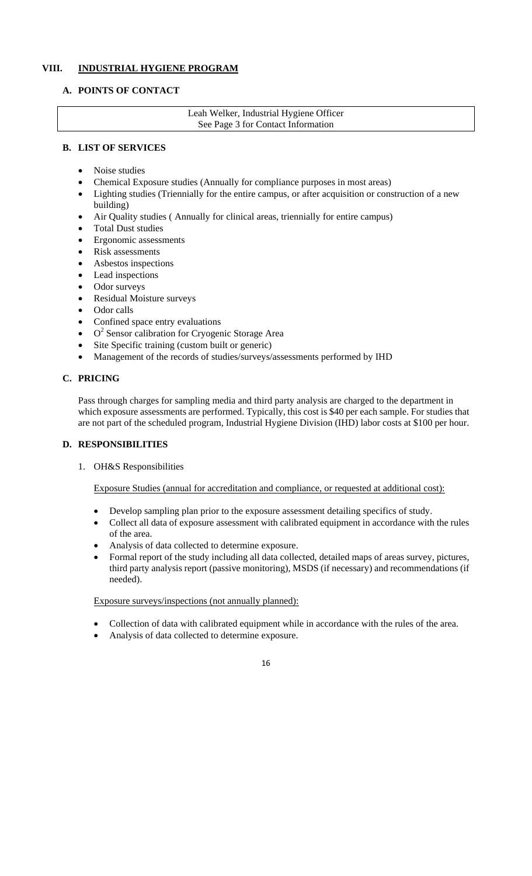## **VIII. INDUSTRIAL HYGIENE PROGRAM**

## **A. POINTS OF CONTACT**

Leah Welker, Industrial Hygiene Officer See Page 3 for Contact Information

## **B. LIST OF SERVICES**

- Noise studies
- Chemical Exposure studies (Annually for compliance purposes in most areas)
- Lighting studies (Triennially for the entire campus, or after acquisition or construction of a new building)
- Air Quality studies ( Annually for clinical areas, triennially for entire campus)
- Total Dust studies
- Ergonomic assessments
- Risk assessments
- Asbestos inspections
- Lead inspections
- Odor surveys
- Residual Moisture surveys
- Odor calls
- Confined space entry evaluations
- $\bullet$  O<sup>2</sup> Sensor calibration for Cryogenic Storage Area
- Site Specific training (custom built or generic)
- Management of the records of studies/surveys/assessments performed by IHD

## **C. PRICING**

Pass through charges for sampling media and third party analysis are charged to the department in which exposure assessments are performed. Typically, this cost is \$40 per each sample. For studies that are not part of the scheduled program, Industrial Hygiene Division (IHD) labor costs at \$100 per hour.

## **D. RESPONSIBILITIES**

1. OH&S Responsibilities

Exposure Studies (annual for accreditation and compliance, or requested at additional cost):

- Develop sampling plan prior to the exposure assessment detailing specifics of study.
- Collect all data of exposure assessment with calibrated equipment in accordance with the rules of the area.
- Analysis of data collected to determine exposure.
- Formal report of the study including all data collected, detailed maps of areas survey, pictures, third party analysis report (passive monitoring), MSDS (if necessary) and recommendations (if needed).

Exposure surveys/inspections (not annually planned):

- Collection of data with calibrated equipment while in accordance with the rules of the area.
- Analysis of data collected to determine exposure.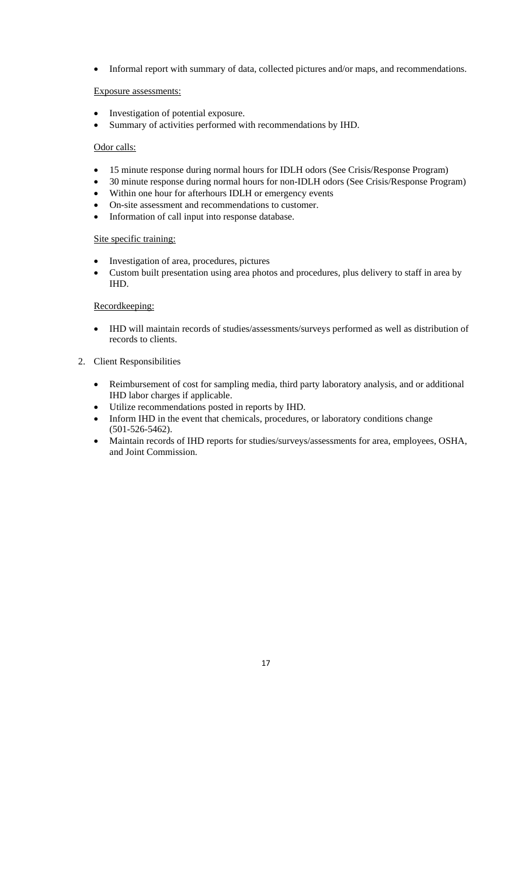Informal report with summary of data, collected pictures and/or maps, and recommendations.

#### Exposure assessments:

- Investigation of potential exposure.
- Summary of activities performed with recommendations by IHD.

#### Odor calls:

- 15 minute response during normal hours for IDLH odors (See Crisis/Response Program)
- 30 minute response during normal hours for non-IDLH odors (See Crisis/Response Program)
- Within one hour for afterhours IDLH or emergency events
- On-site assessment and recommendations to customer.
- Information of call input into response database.

#### Site specific training:

- Investigation of area, procedures, pictures
- Custom built presentation using area photos and procedures, plus delivery to staff in area by IHD.

#### Recordkeeping:

 IHD will maintain records of studies/assessments/surveys performed as well as distribution of records to clients.

#### 2. Client Responsibilities

- Reimbursement of cost for sampling media, third party laboratory analysis, and or additional IHD labor charges if applicable.
- Utilize recommendations posted in reports by IHD.
- Inform IHD in the event that chemicals, procedures, or laboratory conditions change (501-526-5462).
- Maintain records of IHD reports for studies/surveys/assessments for area, employees, OSHA, and Joint Commission.

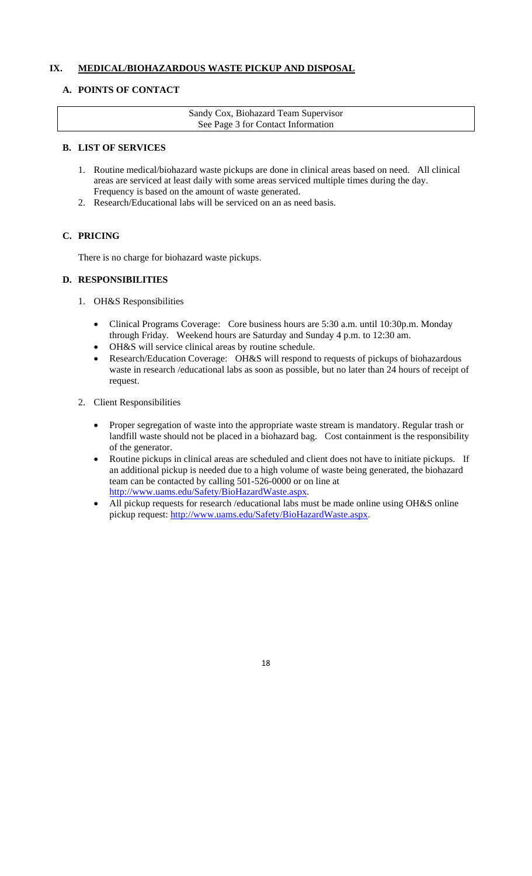## **IX. MEDICAL/BIOHAZARDOUS WASTE PICKUP AND DISPOSAL**

## **A. POINTS OF CONTACT**

Sandy Cox, Biohazard Team Supervisor See Page 3 for Contact Information

## **B. LIST OF SERVICES**

- 1. Routine medical/biohazard waste pickups are done in clinical areas based on need. All clinical areas are serviced at least daily with some areas serviced multiple times during the day. Frequency is based on the amount of waste generated.
- 2. Research/Educational labs will be serviced on an as need basis.

## **C. PRICING**

There is no charge for biohazard waste pickups.

## **D. RESPONSIBILITIES**

- 1. OH&S Responsibilities
	- Clinical Programs Coverage: Core business hours are 5:30 a.m. until 10:30p.m. Monday through Friday. Weekend hours are Saturday and Sunday 4 p.m. to 12:30 am.
	- OH&S will service clinical areas by routine schedule.
	- Research/Education Coverage: OH&S will respond to requests of pickups of biohazardous waste in research /educational labs as soon as possible, but no later than 24 hours of receipt of request.
- 2. Client Responsibilities
	- Proper segregation of waste into the appropriate waste stream is mandatory. Regular trash or landfill waste should not be placed in a biohazard bag. Cost containment is the responsibility of the generator.
	- Routine pickups in clinical areas are scheduled and client does not have to initiate pickups. If an additional pickup is needed due to a high volume of waste being generated, the biohazard team can be contacted by calling 501-526-0000 or on line at http://www.uams.edu/Safety/BioHazardWaste.aspx.
	- All pickup requests for research /educational labs must be made online using OH&S online pickup request: http://www.uams.edu/Safety/BioHazardWaste.aspx.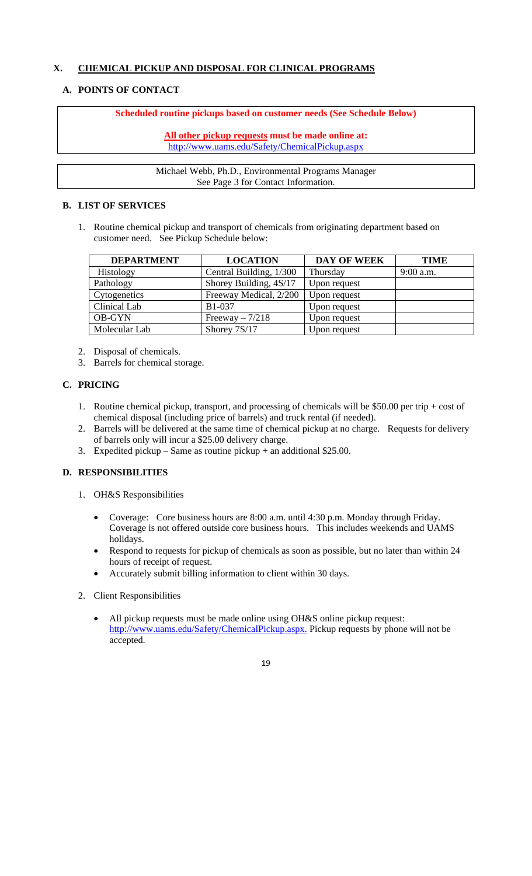## **X. CHEMICAL PICKUP AND DISPOSAL FOR CLINICAL PROGRAMS**

## **A. POINTS OF CONTACT**

## **Scheduled routine pickups based on customer needs (See Schedule Below)**

**All other pickup requests must be made online at:**  http://www.uams.edu/Safety/ChemicalPickup.aspx

Michael Webb, Ph.D., Environmental Programs Manager See Page 3 for Contact Information.

## **B. LIST OF SERVICES**

1. Routine chemical pickup and transport of chemicals from originating department based on customer need. See Pickup Schedule below:

| <b>DEPARTMENT</b> | <b>LOCATION</b>         | <b>DAY OF WEEK</b> | <b>TIME</b> |
|-------------------|-------------------------|--------------------|-------------|
| Histology         | Central Building, 1/300 | Thursday           | $9:00$ a.m. |
| Pathology         | Shorey Building, 4S/17  | Upon request       |             |
| Cytogenetics      | Freeway Medical, 2/200  | Upon request       |             |
| Clinical Lab      | <b>B1-037</b>           | Upon request       |             |
| <b>OB-GYN</b>     | Freeway $-7/218$        | Upon request       |             |
| Molecular Lab     | Shorey 7S/17            | Upon request       |             |

- 2. Disposal of chemicals.
- 3. Barrels for chemical storage.

## **C. PRICING**

- 1. Routine chemical pickup, transport, and processing of chemicals will be \$50.00 per trip + cost of chemical disposal (including price of barrels) and truck rental (if needed).
- 2. Barrels will be delivered at the same time of chemical pickup at no charge. Requests for delivery of barrels only will incur a \$25.00 delivery charge.
- 3. Expedited pickup Same as routine pickup + an additional  $$25.00$ .

## **D. RESPONSIBILITIES**

- 1. OH&S Responsibilities
	- Coverage: Core business hours are 8:00 a.m. until 4:30 p.m. Monday through Friday. Coverage is not offered outside core business hours. This includes weekends and UAMS holidays.
	- Respond to requests for pickup of chemicals as soon as possible, but no later than within 24 hours of receipt of request.
	- Accurately submit billing information to client within 30 days.
- 2. Client Responsibilities
	- All pickup requests must be made online using OH&S online pickup request: http://www.uams.edu/Safety/ChemicalPickup.aspx. Pickup requests by phone will not be accepted.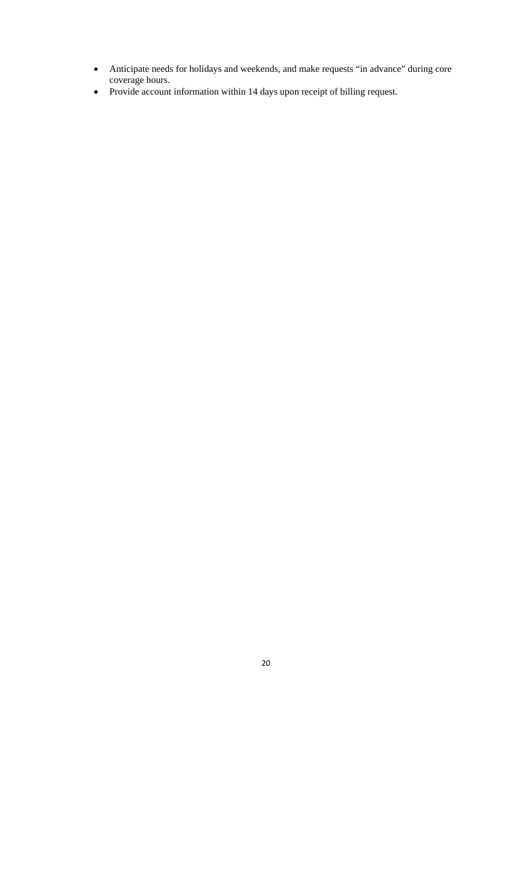- Anticipate needs for holidays and weekends, and make requests "in advance" during core coverage hours.
- Provide account information within 14 days upon receipt of billing request.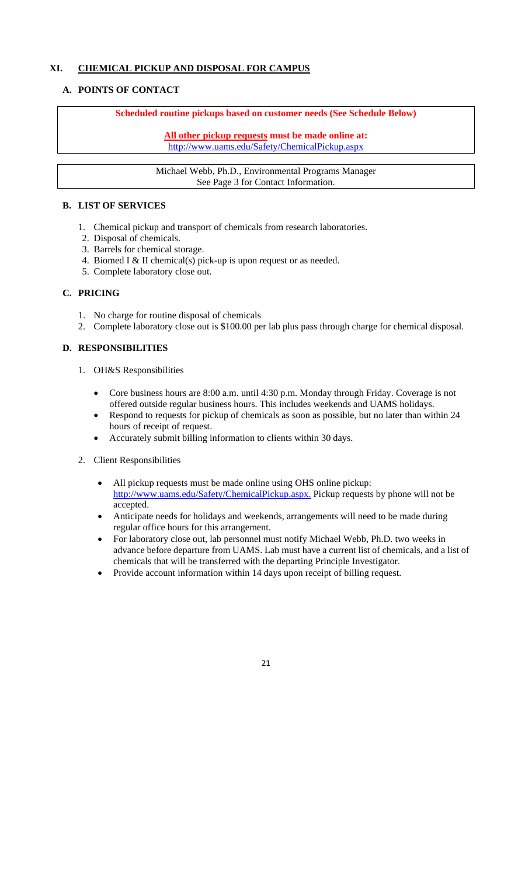## **XI. CHEMICAL PICKUP AND DISPOSAL FOR CAMPUS**

## **A. POINTS OF CONTACT**

## **Scheduled routine pickups based on customer needs (See Schedule Below)**

**All other pickup requests must be made online at:**  http://www.uams.edu/Safety/ChemicalPickup.aspx

Michael Webb, Ph.D., Environmental Programs Manager See Page 3 for Contact Information.

## **B. LIST OF SERVICES**

- 1. Chemical pickup and transport of chemicals from research laboratories.
- 2. Disposal of chemicals.
- 3. Barrels for chemical storage.
- 4. Biomed I & II chemical(s) pick-up is upon request or as needed.
- 5. Complete laboratory close out.

## **C. PRICING**

- 1. No charge for routine disposal of chemicals
- 2. Complete laboratory close out is \$100.00 per lab plus pass through charge for chemical disposal.

## **D. RESPONSIBILITIES**

- 1. OH&S Responsibilities
	- Core business hours are 8:00 a.m. until 4:30 p.m. Monday through Friday. Coverage is not offered outside regular business hours. This includes weekends and UAMS holidays.
	- Respond to requests for pickup of chemicals as soon as possible, but no later than within 24 hours of receipt of request.
	- Accurately submit billing information to clients within 30 days.
- 2. Client Responsibilities
	- All pickup requests must be made online using OHS online pickup: http://www.uams.edu/Safety/ChemicalPickup.aspx. Pickup requests by phone will not be accepted.
	- Anticipate needs for holidays and weekends, arrangements will need to be made during regular office hours for this arrangement.
	- For laboratory close out, lab personnel must notify Michael Webb, Ph.D. two weeks in advance before departure from UAMS. Lab must have a current list of chemicals, and a list of chemicals that will be transferred with the departing Principle Investigator.
	- Provide account information within 14 days upon receipt of billing request.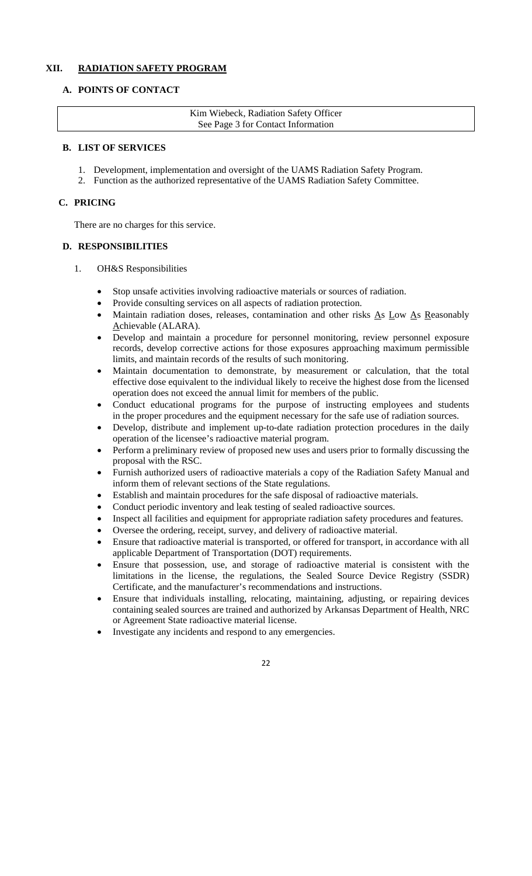## **XII. RADIATION SAFETY PROGRAM**

## **A. POINTS OF CONTACT**

Kim Wiebeck, Radiation Safety Officer See Page 3 for Contact Information

#### **B. LIST OF SERVICES**

- 1. Development, implementation and oversight of the UAMS Radiation Safety Program.
- 2. Function as the authorized representative of the UAMS Radiation Safety Committee.

## **C. PRICING**

There are no charges for this service.

## **D. RESPONSIBILITIES**

- 1. OH&S Responsibilities
	- Stop unsafe activities involving radioactive materials or sources of radiation.
	- Provide consulting services on all aspects of radiation protection.
	- Maintain radiation doses, releases, contamination and other risks As Low As Reasonably Achievable (ALARA).
	- Develop and maintain a procedure for personnel monitoring, review personnel exposure records, develop corrective actions for those exposures approaching maximum permissible limits, and maintain records of the results of such monitoring.
	- Maintain documentation to demonstrate, by measurement or calculation, that the total effective dose equivalent to the individual likely to receive the highest dose from the licensed operation does not exceed the annual limit for members of the public.
	- Conduct educational programs for the purpose of instructing employees and students in the proper procedures and the equipment necessary for the safe use of radiation sources.
	- Develop, distribute and implement up-to-date radiation protection procedures in the daily operation of the licensee's radioactive material program.
	- Perform a preliminary review of proposed new uses and users prior to formally discussing the proposal with the RSC.
	- Furnish authorized users of radioactive materials a copy of the Radiation Safety Manual and inform them of relevant sections of the State regulations.
	- Establish and maintain procedures for the safe disposal of radioactive materials.
	- Conduct periodic inventory and leak testing of sealed radioactive sources.
	- Inspect all facilities and equipment for appropriate radiation safety procedures and features.
	- Oversee the ordering, receipt, survey, and delivery of radioactive material.
	- Ensure that radioactive material is transported, or offered for transport, in accordance with all applicable Department of Transportation (DOT) requirements.
	- Ensure that possession, use, and storage of radioactive material is consistent with the limitations in the license, the regulations, the Sealed Source Device Registry (SSDR) Certificate, and the manufacturer's recommendations and instructions.
	- Ensure that individuals installing, relocating, maintaining, adjusting, or repairing devices containing sealed sources are trained and authorized by Arkansas Department of Health, NRC or Agreement State radioactive material license.
	- Investigate any incidents and respond to any emergencies.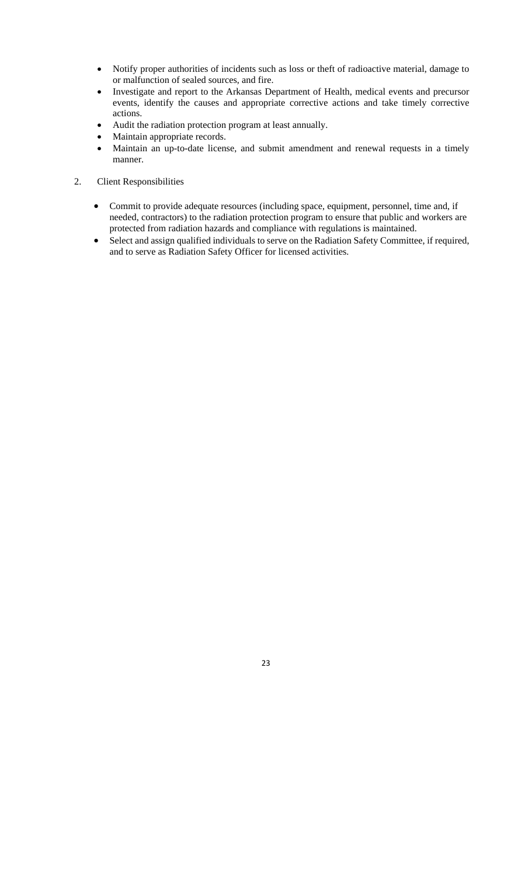- Notify proper authorities of incidents such as loss or theft of radioactive material, damage to or malfunction of sealed sources, and fire.
- Investigate and report to the Arkansas Department of Health, medical events and precursor events, identify the causes and appropriate corrective actions and take timely corrective actions.
- Audit the radiation protection program at least annually.
- Maintain appropriate records.
- Maintain an up-to-date license, and submit amendment and renewal requests in a timely manner.
- 2. Client Responsibilities
	- Commit to provide adequate resources (including space, equipment, personnel, time and, if needed, contractors) to the radiation protection program to ensure that public and workers are protected from radiation hazards and compliance with regulations is maintained.
	- Select and assign qualified individuals to serve on the Radiation Safety Committee, if required, and to serve as Radiation Safety Officer for licensed activities.

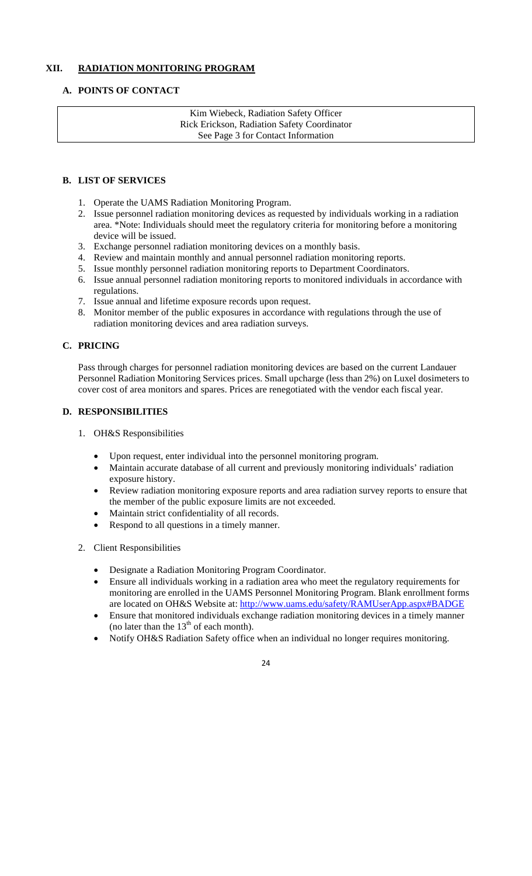## **XII. RADIATION MONITORING PROGRAM**

## **A. POINTS OF CONTACT**

Kim Wiebeck, Radiation Safety Officer Rick Erickson, Radiation Safety Coordinator See Page 3 for Contact Information

## **B. LIST OF SERVICES**

- 1. Operate the UAMS Radiation Monitoring Program.
- 2. Issue personnel radiation monitoring devices as requested by individuals working in a radiation area. \*Note: Individuals should meet the regulatory criteria for monitoring before a monitoring device will be issued.
- 3. Exchange personnel radiation monitoring devices on a monthly basis.
- 4. Review and maintain monthly and annual personnel radiation monitoring reports.
- 5. Issue monthly personnel radiation monitoring reports to Department Coordinators.
- 6. Issue annual personnel radiation monitoring reports to monitored individuals in accordance with regulations.
- 7. Issue annual and lifetime exposure records upon request.
- 8. Monitor member of the public exposures in accordance with regulations through the use of radiation monitoring devices and area radiation surveys.

## **C. PRICING**

Pass through charges for personnel radiation monitoring devices are based on the current Landauer Personnel Radiation Monitoring Services prices. Small upcharge (less than 2%) on Luxel dosimeters to cover cost of area monitors and spares. Prices are renegotiated with the vendor each fiscal year.

## **D. RESPONSIBILITIES**

- 1. OH&S Responsibilities
	- Upon request, enter individual into the personnel monitoring program.
	- Maintain accurate database of all current and previously monitoring individuals' radiation exposure history.
	- Review radiation monitoring exposure reports and area radiation survey reports to ensure that the member of the public exposure limits are not exceeded.
	- Maintain strict confidentiality of all records.
	- Respond to all questions in a timely manner.
- 2. Client Responsibilities
	- Designate a Radiation Monitoring Program Coordinator.
	- Ensure all individuals working in a radiation area who meet the regulatory requirements for monitoring are enrolled in the UAMS Personnel Monitoring Program. Blank enrollment forms are located on OH&S Website at: http://www.uams.edu/safety/RAMUserApp.aspx#BADGE
	- Ensure that monitored individuals exchange radiation monitoring devices in a timely manner (no later than the  $13<sup>th</sup>$  of each month).
	- Notify OH&S Radiation Safety office when an individual no longer requires monitoring.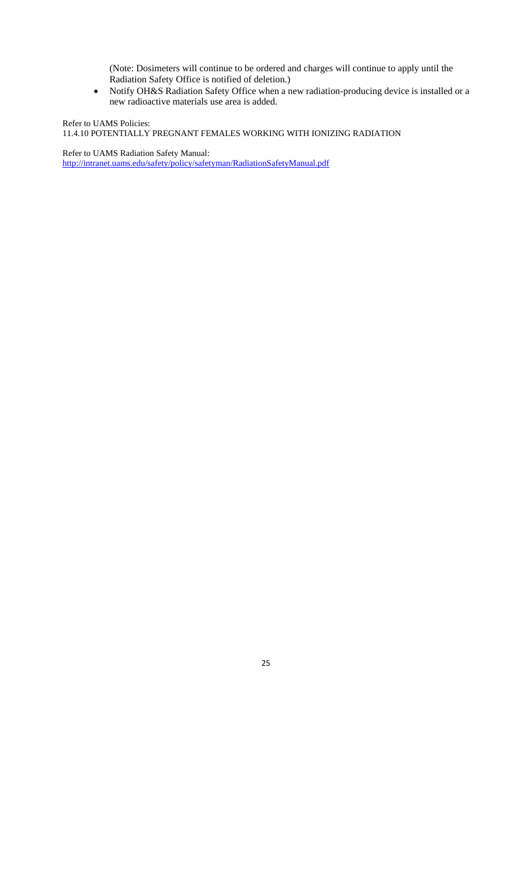(Note: Dosimeters will continue to be ordered and charges will continue to apply until the Radiation Safety Office is notified of deletion.)

 Notify OH&S Radiation Safety Office when a new radiation-producing device is installed or a new radioactive materials use area is added.

Refer to UAMS Policies: 11.4.10 POTENTIALLY PREGNANT FEMALES WORKING WITH IONIZING RADIATION

Refer to UAMS Radiation Safety Manual: http://intranet.uams.edu/safety/policy/safetyman/RadiationSafetyManual.pdf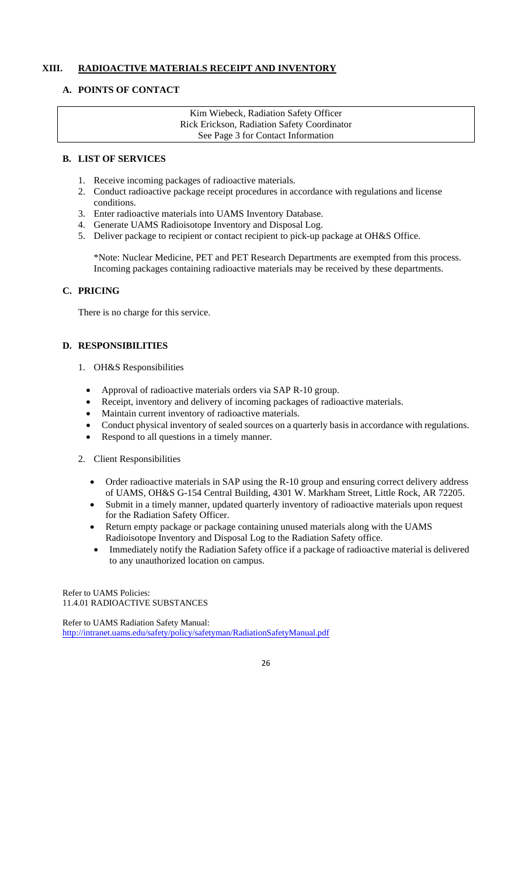## **XIII. RADIOACTIVE MATERIALS RECEIPT AND INVENTORY**

## **A. POINTS OF CONTACT**

Kim Wiebeck, Radiation Safety Officer Rick Erickson, Radiation Safety Coordinator See Page 3 for Contact Information

#### **B. LIST OF SERVICES**

- 1. Receive incoming packages of radioactive materials.
- 2. Conduct radioactive package receipt procedures in accordance with regulations and license conditions.
- 3. Enter radioactive materials into UAMS Inventory Database.
- 4. Generate UAMS Radioisotope Inventory and Disposal Log.
- 5. Deliver package to recipient or contact recipient to pick-up package at OH&S Office.

\*Note: Nuclear Medicine, PET and PET Research Departments are exempted from this process. Incoming packages containing radioactive materials may be received by these departments.

## **C. PRICING**

There is no charge for this service.

#### **D. RESPONSIBILITIES**

- 1. OH&S Responsibilities
	- Approval of radioactive materials orders via SAP R-10 group.
	- Receipt, inventory and delivery of incoming packages of radioactive materials.
	- Maintain current inventory of radioactive materials.
	- Conduct physical inventory of sealed sources on a quarterly basis in accordance with regulations.
	- Respond to all questions in a timely manner.
- 2. Client Responsibilities
	- Order radioactive materials in SAP using the R-10 group and ensuring correct delivery address of UAMS, OH&S G-154 Central Building, 4301 W. Markham Street, Little Rock, AR 72205.
	- Submit in a timely manner, updated quarterly inventory of radioactive materials upon request for the Radiation Safety Officer.
	- Return empty package or package containing unused materials along with the UAMS Radioisotope Inventory and Disposal Log to the Radiation Safety office.
	- Immediately notify the Radiation Safety office if a package of radioactive material is delivered to any unauthorized location on campus.

Refer to UAMS Policies: 11.4.01 RADIOACTIVE SUBSTANCES

Refer to UAMS Radiation Safety Manual: http://intranet.uams.edu/safety/policy/safetyman/RadiationSafetyManual.pdf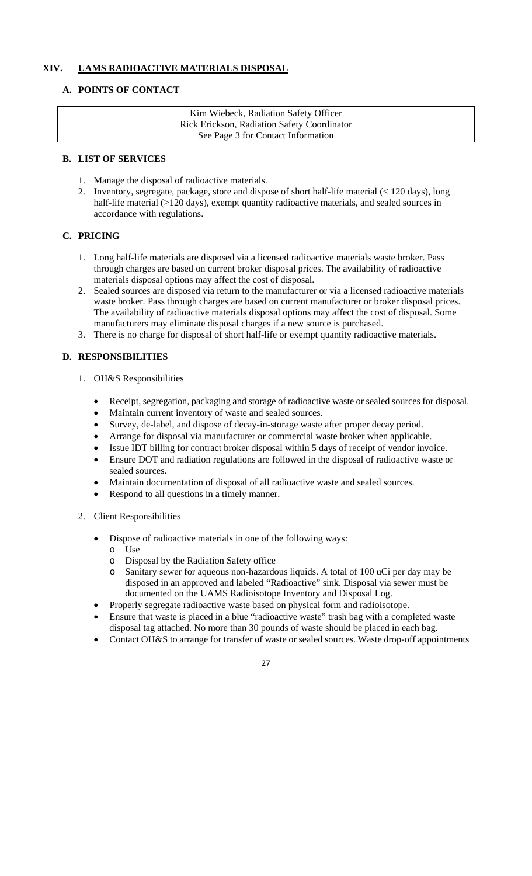## **XIV. UAMS RADIOACTIVE MATERIALS DISPOSAL**

## **A. POINTS OF CONTACT**

Kim Wiebeck, Radiation Safety Officer Rick Erickson, Radiation Safety Coordinator See Page 3 for Contact Information

#### **B. LIST OF SERVICES**

- 1. Manage the disposal of radioactive materials.
- 2. Inventory, segregate, package, store and dispose of short half-life material (< 120 days), long half-life material (>120 days), exempt quantity radioactive materials, and sealed sources in accordance with regulations.

## **C. PRICING**

- 1. Long half-life materials are disposed via a licensed radioactive materials waste broker. Pass through charges are based on current broker disposal prices. The availability of radioactive materials disposal options may affect the cost of disposal.
- 2. Sealed sources are disposed via return to the manufacturer or via a licensed radioactive materials waste broker. Pass through charges are based on current manufacturer or broker disposal prices. The availability of radioactive materials disposal options may affect the cost of disposal. Some manufacturers may eliminate disposal charges if a new source is purchased.
- 3. There is no charge for disposal of short half-life or exempt quantity radioactive materials.

## **D. RESPONSIBILITIES**

- 1. OH&S Responsibilities
	- Receipt, segregation, packaging and storage of radioactive waste or sealed sources for disposal.
	- Maintain current inventory of waste and sealed sources.
	- Survey, de-label, and dispose of decay-in-storage waste after proper decay period.
	- Arrange for disposal via manufacturer or commercial waste broker when applicable.
	- Issue IDT billing for contract broker disposal within 5 days of receipt of vendor invoice.
	- Ensure DOT and radiation regulations are followed in the disposal of radioactive waste or sealed sources.
	- Maintain documentation of disposal of all radioactive waste and sealed sources.
	- Respond to all questions in a timely manner.
- 2. Client Responsibilities
	- Dispose of radioactive materials in one of the following ways:
		- o Use
		- o Disposal by the Radiation Safety office
		- o Sanitary sewer for aqueous non-hazardous liquids. A total of 100 uCi per day may be disposed in an approved and labeled "Radioactive" sink. Disposal via sewer must be documented on the UAMS Radioisotope Inventory and Disposal Log.
	- Properly segregate radioactive waste based on physical form and radioisotope.
	- Ensure that waste is placed in a blue "radioactive waste" trash bag with a completed waste disposal tag attached. No more than 30 pounds of waste should be placed in each bag.
	- Contact OH&S to arrange for transfer of waste or sealed sources. Waste drop-off appointments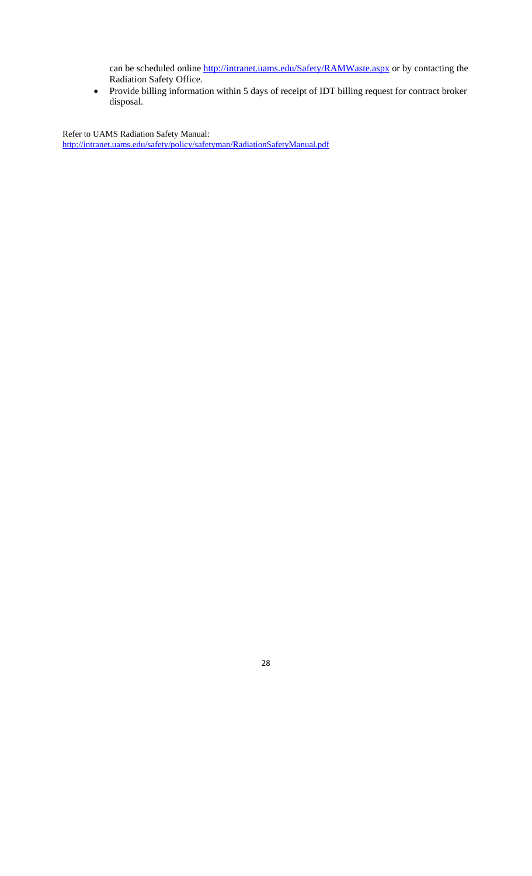can be scheduled online http://intranet.uams.edu/Safety/RAMWaste.aspx or by contacting the Radiation Safety Office.

 Provide billing information within 5 days of receipt of IDT billing request for contract broker disposal.

Refer to UAMS Radiation Safety Manual: http://intranet.uams.edu/safety/policy/safetyman/RadiationSafetyManual.pdf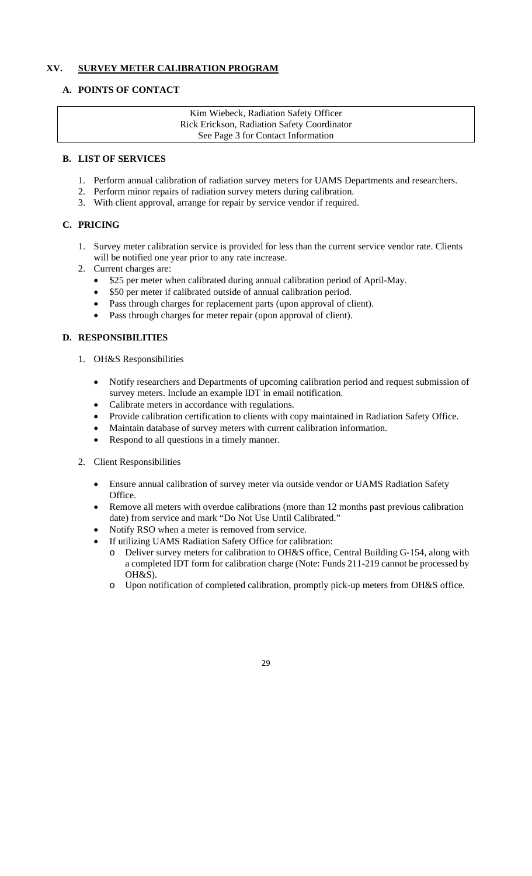## **XV. SURVEY METER CALIBRATION PROGRAM**

## **A. POINTS OF CONTACT**

Kim Wiebeck, Radiation Safety Officer Rick Erickson, Radiation Safety Coordinator See Page 3 for Contact Information

#### **B. LIST OF SERVICES**

- 1. Perform annual calibration of radiation survey meters for UAMS Departments and researchers.
- 2. Perform minor repairs of radiation survey meters during calibration.
- 3. With client approval, arrange for repair by service vendor if required.

## **C. PRICING**

- 1. Survey meter calibration service is provided for less than the current service vendor rate. Clients will be notified one year prior to any rate increase.
- 2. Current charges are:
	- \$25 per meter when calibrated during annual calibration period of April-May.
	- \$50 per meter if calibrated outside of annual calibration period.
	- Pass through charges for replacement parts (upon approval of client).
	- Pass through charges for meter repair (upon approval of client).

## **D. RESPONSIBILITIES**

- 1. OH&S Responsibilities
	- Notify researchers and Departments of upcoming calibration period and request submission of survey meters. Include an example IDT in email notification.
	- Calibrate meters in accordance with regulations.
	- Provide calibration certification to clients with copy maintained in Radiation Safety Office.
	- Maintain database of survey meters with current calibration information.
	- Respond to all questions in a timely manner.
- 2. Client Responsibilities
	- Ensure annual calibration of survey meter via outside vendor or UAMS Radiation Safety Office.
	- Remove all meters with overdue calibrations (more than 12 months past previous calibration date) from service and mark "Do Not Use Until Calibrated."
	- Notify RSO when a meter is removed from service.
	- If utilizing UAMS Radiation Safety Office for calibration:
		- o Deliver survey meters for calibration to OH&S office, Central Building G-154, along with a completed IDT form for calibration charge (Note: Funds 211-219 cannot be processed by OH&S).
		- o Upon notification of completed calibration, promptly pick-up meters from OH&S office.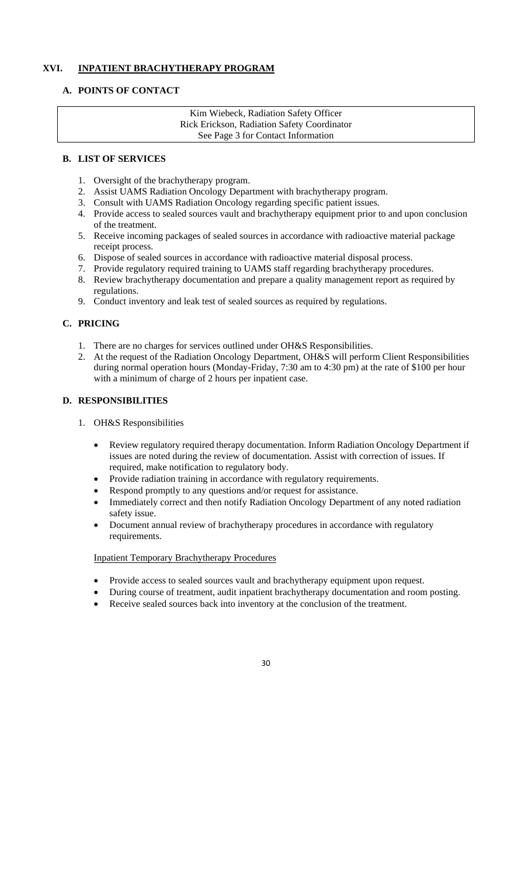## **XVI. INPATIENT BRACHYTHERAPY PROGRAM**

## **A. POINTS OF CONTACT**

Kim Wiebeck, Radiation Safety Officer Rick Erickson, Radiation Safety Coordinator See Page 3 for Contact Information

#### **B. LIST OF SERVICES**

- 1. Oversight of the brachytherapy program.
- 2. Assist UAMS Radiation Oncology Department with brachytherapy program.
- 3. Consult with UAMS Radiation Oncology regarding specific patient issues.
- 4. Provide access to sealed sources vault and brachytherapy equipment prior to and upon conclusion of the treatment.
- 5. Receive incoming packages of sealed sources in accordance with radioactive material package receipt process.
- 6. Dispose of sealed sources in accordance with radioactive material disposal process.
- 7. Provide regulatory required training to UAMS staff regarding brachytherapy procedures.
- 8. Review brachytherapy documentation and prepare a quality management report as required by regulations.
- 9. Conduct inventory and leak test of sealed sources as required by regulations.

## **C. PRICING**

- 1. There are no charges for services outlined under OH&S Responsibilities.
- 2. At the request of the Radiation Oncology Department, OH&S will perform Client Responsibilities during normal operation hours (Monday-Friday, 7:30 am to 4:30 pm) at the rate of \$100 per hour with a minimum of charge of 2 hours per inpatient case.

## **D. RESPONSIBILITIES**

- 1. OH&S Responsibilities
	- Review regulatory required therapy documentation. Inform Radiation Oncology Department if issues are noted during the review of documentation. Assist with correction of issues. If required, make notification to regulatory body.
	- Provide radiation training in accordance with regulatory requirements.
	- Respond promptly to any questions and/or request for assistance.
	- Immediately correct and then notify Radiation Oncology Department of any noted radiation safety issue.
	- Document annual review of brachytherapy procedures in accordance with regulatory requirements.

## Inpatient Temporary Brachytherapy Procedures

- Provide access to sealed sources vault and brachytherapy equipment upon request.
- During course of treatment, audit inpatient brachytherapy documentation and room posting.
- Receive sealed sources back into inventory at the conclusion of the treatment.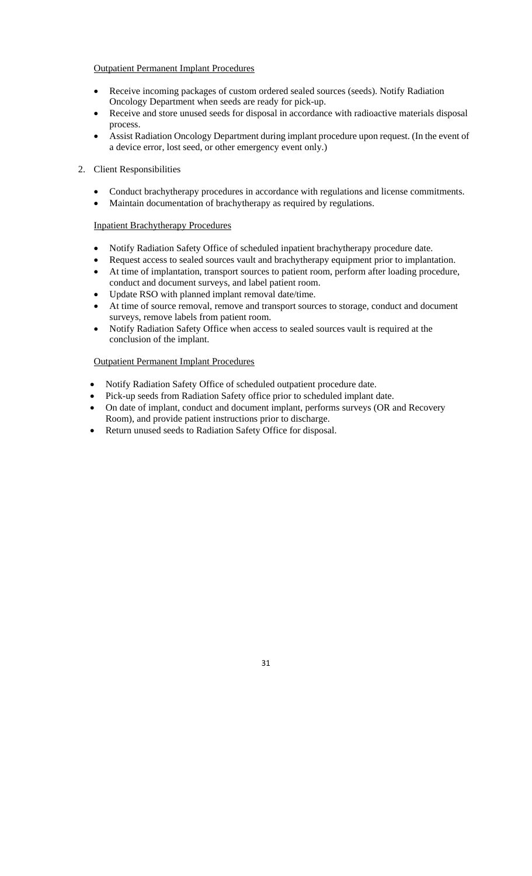## Outpatient Permanent Implant Procedures

- Receive incoming packages of custom ordered sealed sources (seeds). Notify Radiation Oncology Department when seeds are ready for pick-up.
- Receive and store unused seeds for disposal in accordance with radioactive materials disposal process.
- Assist Radiation Oncology Department during implant procedure upon request. (In the event of a device error, lost seed, or other emergency event only.)

## 2. Client Responsibilities

- Conduct brachytherapy procedures in accordance with regulations and license commitments.
- Maintain documentation of brachytherapy as required by regulations.

## Inpatient Brachytherapy Procedures

- Notify Radiation Safety Office of scheduled inpatient brachytherapy procedure date.
- Request access to sealed sources vault and brachytherapy equipment prior to implantation.
- At time of implantation, transport sources to patient room, perform after loading procedure, conduct and document surveys, and label patient room.
- Update RSO with planned implant removal date/time.
- At time of source removal, remove and transport sources to storage, conduct and document surveys, remove labels from patient room.
- Notify Radiation Safety Office when access to sealed sources vault is required at the conclusion of the implant.

## Outpatient Permanent Implant Procedures

- Notify Radiation Safety Office of scheduled outpatient procedure date.
- Pick-up seeds from Radiation Safety office prior to scheduled implant date.
- On date of implant, conduct and document implant, performs surveys (OR and Recovery Room), and provide patient instructions prior to discharge.
- Return unused seeds to Radiation Safety Office for disposal.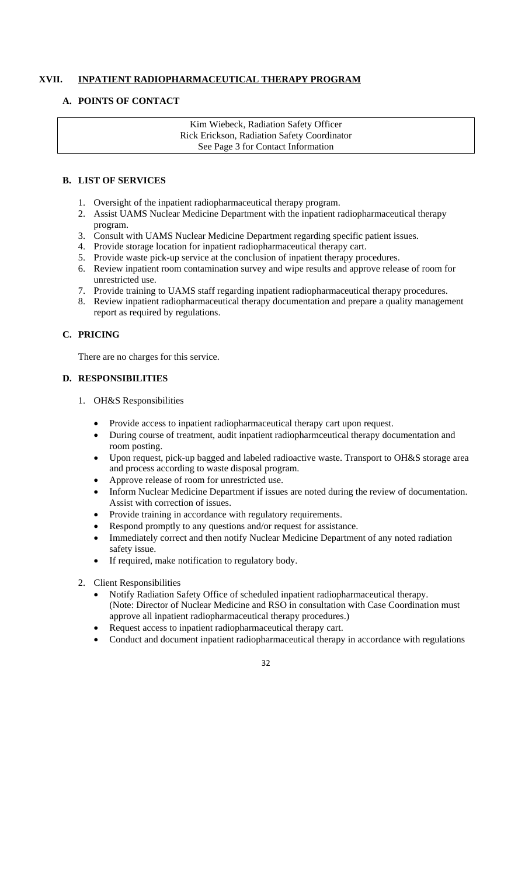## **XVII. INPATIENT RADIOPHARMACEUTICAL THERAPY PROGRAM**

## **A. POINTS OF CONTACT**

Kim Wiebeck, Radiation Safety Officer Rick Erickson, Radiation Safety Coordinator See Page 3 for Contact Information

## **B. LIST OF SERVICES**

- 1. Oversight of the inpatient radiopharmaceutical therapy program.
- 2. Assist UAMS Nuclear Medicine Department with the inpatient radiopharmaceutical therapy program.
- 3. Consult with UAMS Nuclear Medicine Department regarding specific patient issues.
- 4. Provide storage location for inpatient radiopharmaceutical therapy cart.
- 5. Provide waste pick-up service at the conclusion of inpatient therapy procedures.
- 6. Review inpatient room contamination survey and wipe results and approve release of room for unrestricted use.
- 7. Provide training to UAMS staff regarding inpatient radiopharmaceutical therapy procedures.
- 8. Review inpatient radiopharmaceutical therapy documentation and prepare a quality management report as required by regulations.

## **C. PRICING**

There are no charges for this service.

## **D. RESPONSIBILITIES**

- 1. OH&S Responsibilities
	- Provide access to inpatient radiopharmaceutical therapy cart upon request.
	- During course of treatment, audit inpatient radiopharmceutical therapy documentation and room posting.
	- Upon request, pick-up bagged and labeled radioactive waste. Transport to OH&S storage area and process according to waste disposal program.
	- Approve release of room for unrestricted use.
	- Inform Nuclear Medicine Department if issues are noted during the review of documentation. Assist with correction of issues.
	- Provide training in accordance with regulatory requirements.
	- Respond promptly to any questions and/or request for assistance.
	- Immediately correct and then notify Nuclear Medicine Department of any noted radiation safety issue.
	- If required, make notification to regulatory body.
- 2. Client Responsibilities
	- Notify Radiation Safety Office of scheduled inpatient radiopharmaceutical therapy. (Note: Director of Nuclear Medicine and RSO in consultation with Case Coordination must approve all inpatient radiopharmaceutical therapy procedures.)
	- Request access to inpatient radiopharmaceutical therapy cart.
	- Conduct and document inpatient radiopharmaceutical therapy in accordance with regulations